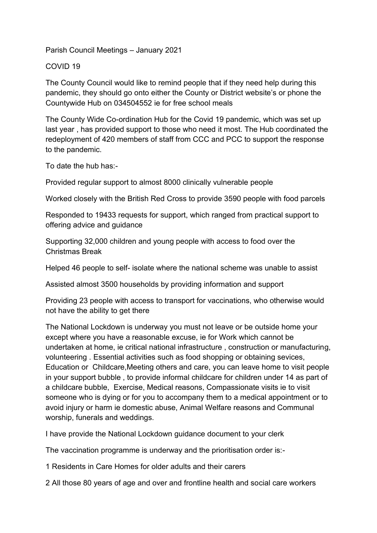Parish Council Meetings – January 2021

## COVID 19

The County Council would like to remind people that if they need help during this pandemic, they should go onto either the County or District website's or phone the Countywide Hub on 034504552 ie for free school meals

The County Wide Co-ordination Hub for the Covid 19 pandemic, which was set up last year , has provided support to those who need it most. The Hub coordinated the redeployment of 420 members of staff from CCC and PCC to support the response to the pandemic.

To date the hub has:-

Provided regular support to almost 8000 clinically vulnerable people

Worked closely with the British Red Cross to provide 3590 people with food parcels

Responded to 19433 requests for support, which ranged from practical support to offering advice and guidance

Supporting 32,000 children and young people with access to food over the Christmas Break

Helped 46 people to self- isolate where the national scheme was unable to assist

Assisted almost 3500 households by providing information and support

Providing 23 people with access to transport for vaccinations, who otherwise would not have the ability to get there

The National Lockdown is underway you must not leave or be outside home your except where you have a reasonable excuse, ie for Work which cannot be undertaken at home, ie critical national infrastructure , construction or manufacturing, volunteering . Essential activities such as food shopping or obtaining sevices, Education or Childcare,Meeting others and care, you can leave home to visit people in your support bubble , to provide informal childcare for children under 14 as part of a childcare bubble, Exercise, Medical reasons, Compassionate visits ie to visit someone who is dying or for you to accompany them to a medical appointment or to avoid injury or harm ie domestic abuse, Animal Welfare reasons and Communal worship, funerals and weddings.

I have provide the National Lockdown guidance document to your clerk

The vaccination programme is underway and the prioritisation order is:-

1 Residents in Care Homes for older adults and their carers

2 All those 80 years of age and over and frontline health and social care workers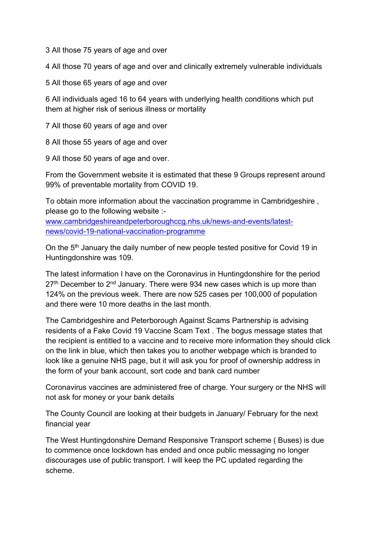3 All those 75 years of age and over

4 All those 70 years of age and over and clinically extremely vulnerable individuals

5 All those 65 years of age and over

6 All individuals aged 16 to 64 years with underlying health conditions which put them at higher risk of serious illness or mortality

7 All those 60 years of age and over

8 All those 55 years of age and over

9 All those 50 years of age and over.

From the Government website it is estimated that these 9 Groups represent around 99% of preventable mortality from COVID 19.

To obtain more information about the vaccination programme in Cambridgeshire , please go to the following website :-

[www.cambridgeshireandpeterboroughccg.nhs.uk/news-and-events/latest](http://www.cambridgeshireandpeterboroughccg.nhs.uk/news-and-events/latest-news/covid-19-national-vaccination-programme)[news/covid-19-national-vaccination-programme](http://www.cambridgeshireandpeterboroughccg.nhs.uk/news-and-events/latest-news/covid-19-national-vaccination-programme)

On the 5<sup>th</sup> January the daily number of new people tested positive for Covid 19 in Huntingdonshire was 109.

The latest information I have on the Coronavirus in Huntingdonshire for the period  $27<sup>th</sup>$  December to  $2<sup>nd</sup>$  January. There were 934 new cases which is up more than 124% on the previous week. There are now 525 cases per 100,000 of population and there were 10 more deaths in the last month.

The Cambridgeshire and Peterborough Against Scams Partnership is advising residents of a Fake Covid 19 Vaccine Scam Text . The bogus message states that the recipient is entitled to a vaccine and to receive more information they should click on the link in blue, which then takes you to another webpage which is branded to look like a genuine NHS page, but it will ask you for proof of ownership address in the form of your bank account, sort code and bank card number

Coronavirus vaccines are administered free of charge. Your surgery or the NHS will not ask for money or your bank details

The County Council are looking at their budgets in January/ February for the next financial year

The West Huntingdonshire Demand Responsive Transport scheme ( Buses) is due to commence once lockdown has ended and once public messaging no longer discourages use of public transport. I will keep the PC updated regarding the scheme.